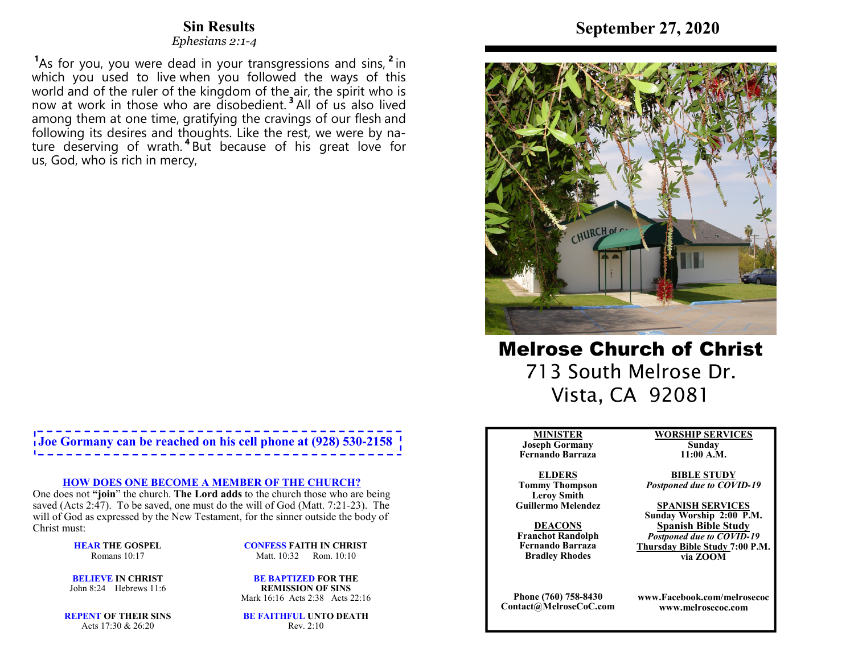# **Sin Results**

 *Ephesians 2:1-4* 

**<sup>1</sup>**As for you, you were dead in your transgressions and sins, **<sup>2</sup>** in which you used to live when you followed the ways of this world and of the ruler of the kingdom of the air, the spirit who is now at work in those who are disobedient. **<sup>3</sup>**All of us also lived among them at one time, gratifying the cravings of our flesh and following its desires and thoughts. Like the rest, we were by nature deserving of wrath. **<sup>4</sup>**But because of his great love for us, God, who is rich in mercy,

# **Joe Gormany can be reached on his cell phone at (928) 530-2158**

#### **HOW DOES ONE BECOME A MEMBER OF THE CHURCH?**

 One does not **"join**" the church. **The Lord adds** to the church those who are being saved (Acts 2:47). To be saved, one must do the will of God (Matt. 7:21-23). The will of God as expressed by the New Testament, for the sinner outside the body of Christ must:

> **HEAR THE GOSPEL**Romans 10:17

**CONFESS FAITH IN CHRIST**Matt. 10:32 Rom. 10:10

**BELIEVE IN CHRIST**John 8:24 Hebrews 11:6

**BE BAPTIZED FOR THE REMISSION OF SINS**Mark 16:16 Acts 2:38 Acts 22:16

**REPENT OF THEIR SINS**Acts 17:30 & 26:20

**BE FAITHFUL UNTO DEATH**Rev. 2:10



Melrose Church of Christ 713 South Melrose Dr. Vista, CA 92081

#### **MINISTER**

 **Joseph Gormany Fernando Barraza**

**ELDERS Tommy Thompson Leroy SmithGuillermo Melendez** 

**DEACONS Franchot Randolph Fernando BarrazaBradley Rhodes**

**Phone (760) 758-8430Contact@MelroseCoC.com** **WORSHIP SERVICESSunday** 

**11:00 A.M.** 

**BIBLE STUDY***Postponed due to COVID-19*

**SPANISH SERVICES Sunday Worship 2:00 P.M.Spanish Bible Study** *Postponed due to COVID-19*  **Thursday Bible Study 7:00 P.M.via ZOOM**

**www.Facebook.com/melrosecocwww.melrosecoc.com**